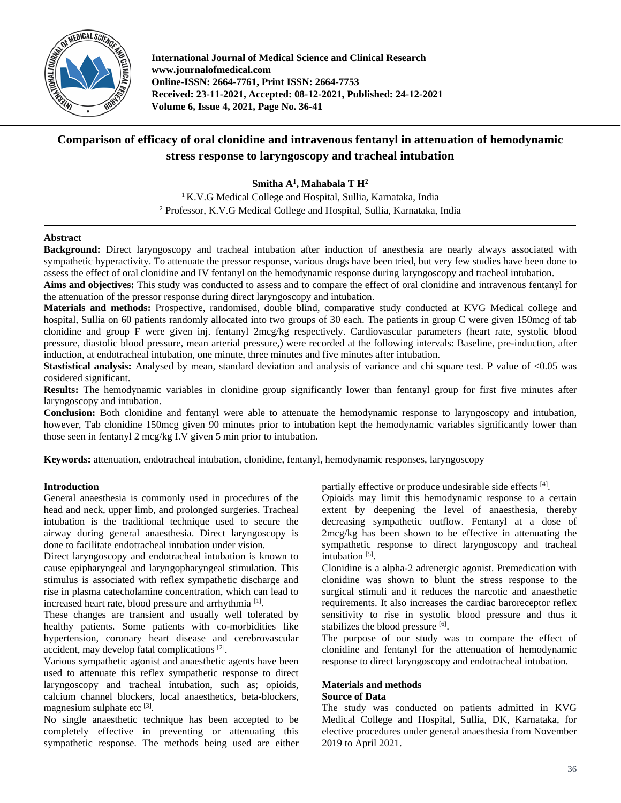

**International Journal of Medical Science and Clinical Research www.journalofmedical.com Online-ISSN: 2664-7761, Print ISSN: 2664-7753 Received: 23-11-2021, Accepted: 08-12-2021, Published: 24-12-2021 Volume 6, Issue 4, 2021, Page No. 36-41**

# **Comparison of efficacy of oral clonidine and intravenous fentanyl in attenuation of hemodynamic stress response to laryngoscopy and tracheal intubation**

**Smitha A1 , Mahabala T H2**

<sup>1</sup> K.V.G Medical College and Hospital, Sullia, Karnataka, India <sup>2</sup> Professor, K.V.G Medical College and Hospital, Sullia, Karnataka, India

# **Abstract**

**Background:** Direct laryngoscopy and tracheal intubation after induction of anesthesia are nearly always associated with sympathetic hyperactivity. To attenuate the pressor response, various drugs have been tried, but very few studies have been done to assess the effect of oral clonidine and IV fentanyl on the hemodynamic response during laryngoscopy and tracheal intubation.

**Aims and objectives:** This study was conducted to assess and to compare the effect of oral clonidine and intravenous fentanyl for the attenuation of the pressor response during direct laryngoscopy and intubation.

**Materials and methods:** Prospective, randomised, double blind, comparative study conducted at KVG Medical college and hospital, Sullia on 60 patients randomly allocated into two groups of 30 each. The patients in group C were given 150mcg of tab clonidine and group F were given inj. fentanyl 2mcg/kg respectively. Cardiovascular parameters (heart rate, systolic blood pressure, diastolic blood pressure, mean arterial pressure,) were recorded at the following intervals: Baseline, pre-induction, after induction, at endotracheal intubation, one minute, three minutes and five minutes after intubation.

**Stastistical analysis:** Analysed by mean, standard deviation and analysis of variance and chi square test. P value of <0.05 was cosidered significant.

**Results:** The hemodynamic variables in clonidine group significantly lower than fentanyl group for first five minutes after laryngoscopy and intubation.

**Conclusion:** Both clonidine and fentanyl were able to attenuate the hemodynamic response to laryngoscopy and intubation, however, Tab clonidine 150mcg given 90 minutes prior to intubation kept the hemodynamic variables significantly lower than those seen in fentanyl 2 mcg/kg I.V given 5 min prior to intubation.

**Keywords:** attenuation, endotracheal intubation, clonidine, fentanyl, hemodynamic responses, laryngoscopy

# **Introduction**

General anaesthesia is commonly used in procedures of the head and neck, upper limb, and prolonged surgeries. Tracheal intubation is the traditional technique used to secure the airway during general anaesthesia. Direct laryngoscopy is done to facilitate endotracheal intubation under vision.

Direct laryngoscopy and endotracheal intubation is known to cause epipharyngeal and laryngopharyngeal stimulation. This stimulus is associated with reflex sympathetic discharge and rise in plasma catecholamine concentration, which can lead to increased heart rate, blood pressure and arrhythmia<sup>[1]</sup>.

These changes are transient and usually well tolerated by healthy patients. Some patients with co-morbidities like hypertension, coronary heart disease and cerebrovascular accident, may develop fatal complications<sup>[2]</sup>.

Various sympathetic agonist and anaesthetic agents have been used to attenuate this reflex sympathetic response to direct laryngoscopy and tracheal intubation, such as; opioids, calcium channel blockers, local anaesthetics, beta-blockers, magnesium sulphate etc [3].

No single anaesthetic technique has been accepted to be completely effective in preventing or attenuating this sympathetic response. The methods being used are either

partially effective or produce undesirable side effects [4].

Opioids may limit this hemodynamic response to a certain extent by deepening the level of anaesthesia, thereby decreasing sympathetic outflow. Fentanyl at a dose of 2mcg/kg has been shown to be effective in attenuating the sympathetic response to direct laryngoscopy and tracheal intubation<sup>[5]</sup>.

Clonidine is a alpha-2 adrenergic agonist. Premedication with clonidine was shown to blunt the stress response to the surgical stimuli and it reduces the narcotic and anaesthetic requirements. It also increases the cardiac baroreceptor reflex sensitivity to rise in systolic blood pressure and thus it stabilizes the blood pressure [6].

The purpose of our study was to compare the effect of clonidine and fentanyl for the attenuation of hemodynamic response to direct laryngoscopy and endotracheal intubation.

# **Materials and methods Source of Data**

The study was conducted on patients admitted in KVG Medical College and Hospital, Sullia, DK, Karnataka, for elective procedures under general anaesthesia from November 2019 to April 2021.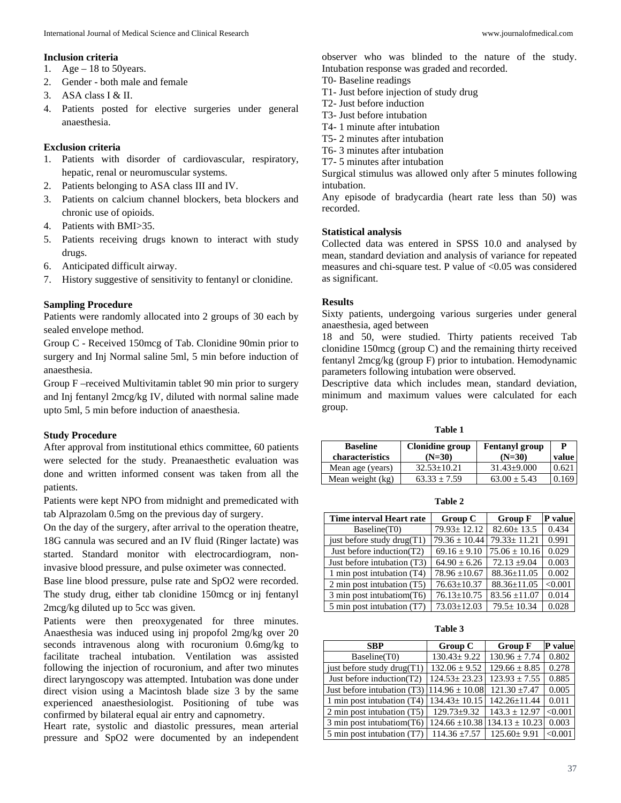### **Inclusion criteria**

- 1. Age  $-18$  to 50 years.
- 2. Gender both male and female
- 3. ASA class I & II.
- 4. Patients posted for elective surgeries under general anaesthesia.

#### **Exclusion criteria**

- 1. Patients with disorder of cardiovascular, respiratory, hepatic, renal or neuromuscular systems.
- 2. Patients belonging to ASA class III and IV.
- 3. Patients on calcium channel blockers, beta blockers and chronic use of opioids.
- 4. Patients with BMI>35.
- 5. Patients receiving drugs known to interact with study drugs.
- 6. Anticipated difficult airway.
- 7. History suggestive of sensitivity to fentanyl or clonidine.

#### **Sampling Procedure**

Patients were randomly allocated into 2 groups of 30 each by sealed envelope method.

Group C - Received 150mcg of Tab. Clonidine 90min prior to surgery and Inj Normal saline 5ml, 5 min before induction of anaesthesia.

Group F –received Multivitamin tablet 90 min prior to surgery and Inj fentanyl 2mcg/kg IV, diluted with normal saline made upto 5ml, 5 min before induction of anaesthesia.

# **Study Procedure**

After approval from institutional ethics committee, 60 patients were selected for the study. Preanaesthetic evaluation was done and written informed consent was taken from all the patients.

Patients were kept NPO from midnight and premedicated with tab Alprazolam 0.5mg on the previous day of surgery.

On the day of the surgery, after arrival to the operation theatre, 18G cannula was secured and an IV fluid (Ringer lactate) was started. Standard monitor with electrocardiogram, noninvasive blood pressure, and pulse oximeter was connected.

Base line blood pressure, pulse rate and SpO2 were recorded. The study drug, either tab clonidine 150mcg or inj fentanyl 2mcg/kg diluted up to 5cc was given.

Patients were then preoxygenated for three minutes. Anaesthesia was induced using inj propofol 2mg/kg over 20 seconds intravenous along with rocuronium 0.6mg/kg to facilitate tracheal intubation. Ventilation was assisted following the injection of rocuronium, and after two minutes direct laryngoscopy was attempted. Intubation was done under direct vision using a Macintosh blade size 3 by the same experienced anaesthesiologist. Positioning of tube was confirmed by bilateral equal air entry and capnometry.

Heart rate, systolic and diastolic pressures, mean arterial pressure and SpO2 were documented by an independent observer who was blinded to the nature of the study. Intubation response was graded and recorded.

- T0- Baseline readings
- T1- Just before injection of study drug
- T2- Just before induction
- T3- Just before intubation
- T4- 1 minute after intubation
- T5- 2 minutes after intubation
- T6- 3 minutes after intubation
- T7- 5 minutes after intubation

Surgical stimulus was allowed only after 5 minutes following intubation.

Any episode of bradycardia (heart rate less than 50) was recorded.

#### **Statistical analysis**

Collected data was entered in SPSS 10.0 and analysed by mean, standard deviation and analysis of variance for repeated measures and chi-square test. P value of <0.05 was considered as significant.

#### **Results**

Sixty patients, undergoing various surgeries under general anaesthesia, aged between

18 and 50, were studied. Thirty patients received Tab clonidine 150mcg (group C) and the remaining thirty received fentanyl 2mcg/kg (group F) prior to intubation. Hemodynamic parameters following intubation were observed.

Descriptive data which includes mean, standard deviation, minimum and maximum values were calculated for each group.

**Table 1**

| <b>Baseline</b><br>characteristics | Clonidine group<br>$(N=30)$ | <b>Fentanyl group</b><br>$(N=30)$ | P<br>value |
|------------------------------------|-----------------------------|-----------------------------------|------------|
| Mean age (years)                   | $32.53 + 10.21$             | $31.43 + 9.000$                   | 0.62       |
| Mean weight (kg)                   | $63.33 \pm 7.59$            | $63.00 + 5.43$                    | 0.169      |

**Table 2** 

| Time interval Heart rate      | Group C           | <b>Group F</b>    | P value |
|-------------------------------|-------------------|-------------------|---------|
| Baseline(T0)                  | $79.93 \pm 12.12$ | $82.60 \pm 13.5$  | 0.434   |
| just before study drug $(T1)$ | $79.36 \pm 10.44$ | $79.33 \pm 11.21$ | 0.991   |
| Just before induction(T2)     | $69.16 \pm 9.10$  | $75.06 \pm 10.16$ | 0.029   |
| Just before intubation (T3)   | $64.90 \pm 6.26$  | $72.13 \pm 9.04$  | 0.003   |
| 1 min post intubation (T4)    | $78.96 \pm 10.67$ | $88.36 \pm 11.05$ | 0.002   |
| 2 min post intubation (T5)    | $76.63 \pm 10.37$ | $88.36 \pm 11.05$ | < 0.001 |
| 3 min post intubatiom (T6)    | $76.13 \pm 10.75$ | $83.56 \pm 11.07$ | 0.014   |
| 5 min post intubation (T7)    | $73.03 \pm 12.03$ | $79.5 \pm 10.34$  | 0.028   |

**Table 3**

| <b>SBP</b>                    | Group C            | <b>Group F</b>     | P value |
|-------------------------------|--------------------|--------------------|---------|
| Baseline(T0)                  | $130.43 \pm 9.22$  | $130.96 \pm 7.74$  | 0.802   |
| just before study drug $(T1)$ | $132.06 \pm 9.52$  | $129.66 \pm 8.85$  | 0.278   |
| Just before induction(T2)     | $124.53 \pm 23.23$ | $123.93 \pm 7.55$  | 0.885   |
| Just before intubation (T3)   | $114.96 \pm 10.08$ | $121.30 \pm 7.47$  | 0.005   |
| 1 min post intubation (T4)    | $134.43 \pm 10.15$ | $142.26 \pm 11.44$ | 0.011   |
| 2 min post intubation (T5)    | $129.73 \pm 9.32$  | $143.3 \pm 12.97$  | < 0.001 |
| 3 min post intubatiom (T6)    | $124.66 \pm 10.38$ | $134.13 \pm 10.23$ | 0.003   |
| 5 min post intubation (T7)    | $114.36 \pm 7.57$  | $125.60 \pm 9.91$  | < 0.001 |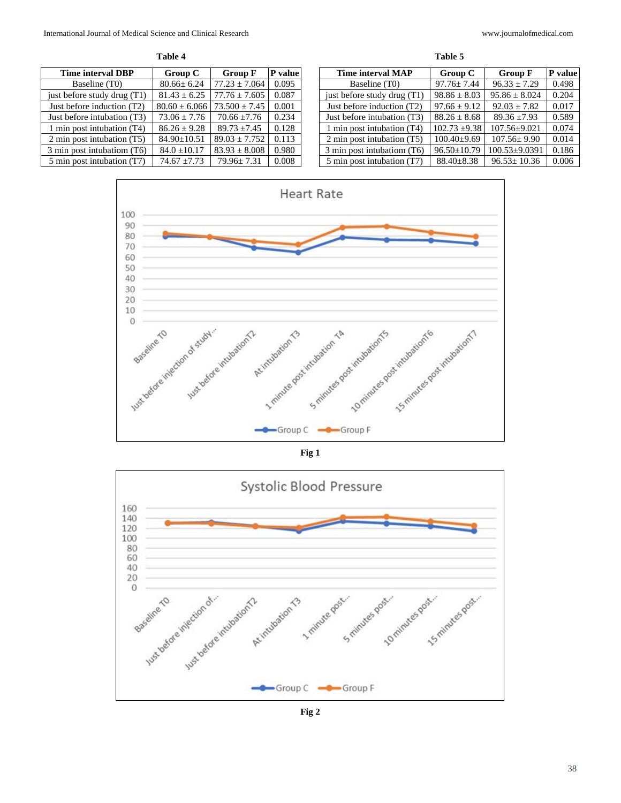| anı |  |
|-----|--|
|     |  |

**Time interval DBP Group C Group F P value**<br>Baseline (T0) **80.66± 6.24 77.23** ± 7.064 **0.095** Baseline (T0) 80.66± 6.24 77.23 ± 7.064<br>fore study drug (T1) 81.43 ± 6.25 77.76 ± 7.605 just before study drug (T1)  $81.43 \pm 6.25$  77.76  $\pm 7.605$  0.087 Just before induction (T2)  $80.60 \pm 6.066$  73.500  $\pm 7.45$  0.001 Just before intubation (T3)  $\begin{array}{|c|c|c|c|c|c|} \hline 73.06 \pm 7.76 & 70.66 \pm 7.76 & 0.234 \hline \end{array}$ 1 min post intubation (T4)  $86.26 \pm 9.28$  89.73  $\pm 7.45$  0.128 2 min post intubation (T5) 84.90 $\pm$ 10.51 89.03  $\pm$  7.752 0.113 3 min post intubatiom (T6)  $84.0 \pm 10.17$   $83.93 \pm 8.008$  0.980<br>5 min post intubation (T7)  $74.67 \pm 7.73$   $79.96 \pm 7.31$  0.008 5 min post intubation (T7)  $\begin{array}{|c|c|c|c|c|c|c|c|c|} \hline \end{array}$  79.96± 7.31 0.008

| www.journalofmedical.co |  |
|-------------------------|--|
|-------------------------|--|

| Table 5                     |                   |                     |         |  |  |
|-----------------------------|-------------------|---------------------|---------|--|--|
| Time interval MAP           | Group C           | <b>Group F</b>      | P value |  |  |
| Baseline (T0)               | $97.76 \pm 7.44$  | $96.33 \pm 7.29$    | 0.498   |  |  |
| just before study drug (T1) | $98.86 \pm 8.03$  | $95.86 \pm 8.024$   | 0.204   |  |  |
| Just before induction (T2)  | $97.66 \pm 9.12$  | $92.03 + 7.82$      | 0.017   |  |  |
| Just before intubation (T3) | $88.26 + 8.68$    | $89.36 + 7.93$      | 0.589   |  |  |
| 1 min post intubation (T4)  | $102.73 \pm 9.38$ | $107.56 \pm 9.021$  | 0.074   |  |  |
| 2 min post intubation (T5)  | $100.40\pm9.69$   | $107.56 \pm 9.90$   | 0.014   |  |  |
| 3 min post intubatiom (T6)  | $96.50 \pm 10.79$ | $100.53 \pm 9.0391$ | 0.186   |  |  |
| 5 min post intubation (T7)  | $88.40 \pm 8.38$  | $96.53 \pm 10.36$   | 0.006   |  |  |





**Fig 2**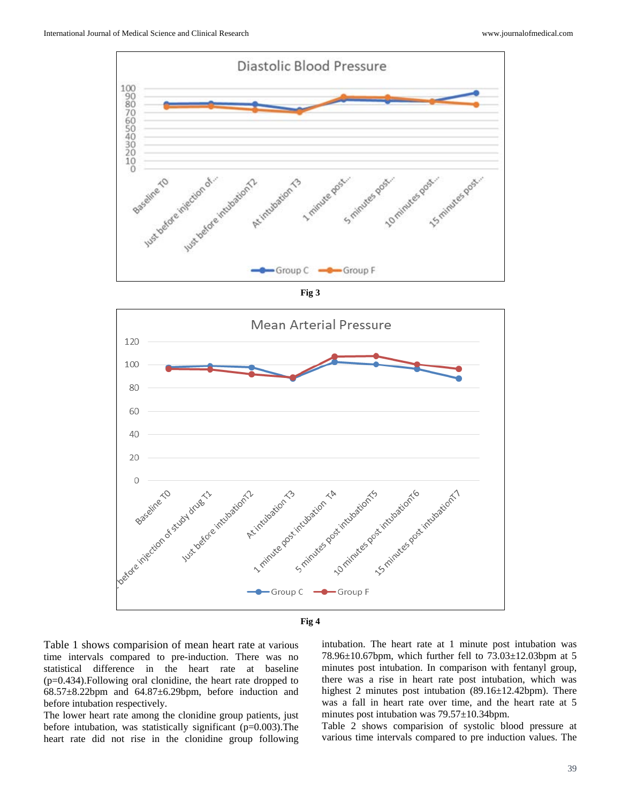

**Fig 3**





Table 1 shows comparision of mean heart rate at various time intervals compared to pre-induction. There was no statistical difference in the heart rate at baseline (p=0.434).Following oral clonidine, the heart rate dropped to  $68.57\pm8.22$ bpm and  $64.87\pm6.29$ bpm, before induction and before intubation respectively.

The lower heart rate among the clonidine group patients, just before intubation, was statistically significant  $(p=0.003)$ . The heart rate did not rise in the clonidine group following

intubation. The heart rate at 1 minute post intubation was 78.96±10.67bpm, which further fell to 73.03±12.03bpm at 5 minutes post intubation. In comparison with fentanyl group, there was a rise in heart rate post intubation, which was highest 2 minutes post intubation (89.16±12.42bpm). There was a fall in heart rate over time, and the heart rate at 5 minutes post intubation was 79.57±10.34bpm.

Table 2 shows comparision of systolic blood pressure at various time intervals compared to pre induction values. The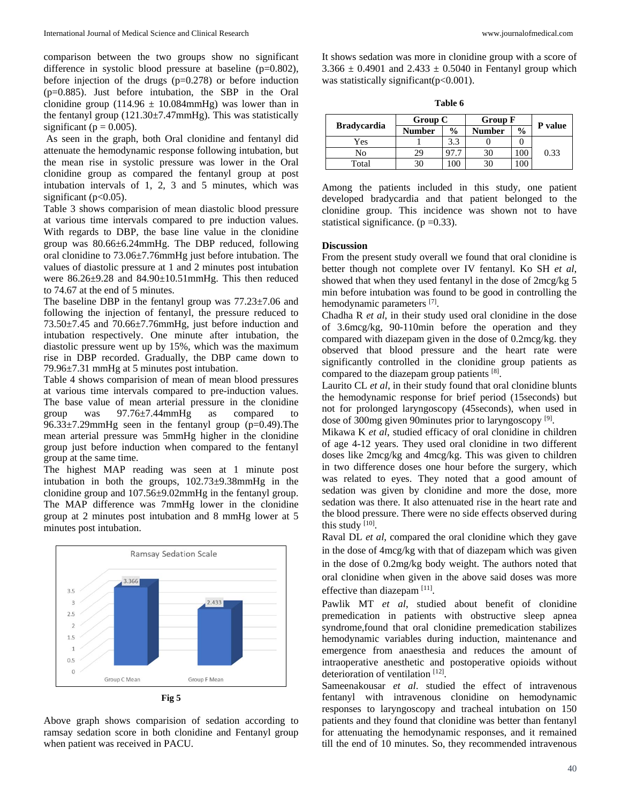comparison between the two groups show no significant difference in systolic blood pressure at baseline (p=0.802), before injection of the drugs  $(p=0.278)$  or before induction (p=0.885). Just before intubation, the SBP in the Oral clonidine group (114.96  $\pm$  10.084mmHg) was lower than in the fentanyl group  $(121.30 \pm 7.47 \text{mmHg})$ . This was statistically significant ( $p = 0.005$ ).

As seen in the graph, both Oral clonidine and fentanyl did attenuate the hemodynamic response following intubation, but the mean rise in systolic pressure was lower in the Oral clonidine group as compared the fentanyl group at post intubation intervals of 1, 2, 3 and 5 minutes, which was significant ( $p<0.05$ ).

Table 3 shows comparision of mean diastolic blood pressure at various time intervals compared to pre induction values. With regards to DBP, the base line value in the clonidine group was 80.66±6.24mmHg. The DBP reduced, following oral clonidine to 73.06±7.76mmHg just before intubation. The values of diastolic pressure at 1 and 2 minutes post intubation were 86.26±9.28 and 84.90±10.51mmHg. This then reduced to 74.67 at the end of 5 minutes.

The baseline DBP in the fentanyl group was 77.23±7.06 and following the injection of fentanyl, the pressure reduced to 73.50±7.45 and 70.66±7.76mmHg, just before induction and intubation respectively. One minute after intubation, the diastolic pressure went up by 15%, which was the maximum rise in DBP recorded. Gradually, the DBP came down to 79.96±7.31 mmHg at 5 minutes post intubation.

Table 4 shows comparision of mean of mean blood pressures at various time intervals compared to pre-induction values. The base value of mean arterial pressure in the clonidine group was 97.76±7.44mmHg as compared to 96.33±7.29mmHg seen in the fentanyl group (p=0.49).The mean arterial pressure was 5mmHg higher in the clonidine group just before induction when compared to the fentanyl group at the same time.

The highest MAP reading was seen at 1 minute post intubation in both the groups, 102.73±9.38mmHg in the clonidine group and 107.56±9.02mmHg in the fentanyl group. The MAP difference was 7mmHg lower in the clonidine group at 2 minutes post intubation and 8 mmHg lower at 5 minutes post intubation.



**Fig 5**

Above graph shows comparision of sedation according to ramsay sedation score in both clonidine and Fentanyl group when patient was received in PACU.

It shows sedation was more in clonidine group with a score of  $3.366 \pm 0.4901$  and  $2.433 \pm 0.5040$  in Fentanyl group which was statistically significant( $p<0.001$ ).

| L<br>۰,<br>v<br>I<br>٠ |  |
|------------------------|--|
|------------------------|--|

|                    | Group C       |               | <b>Group F</b> |               |      | P value |
|--------------------|---------------|---------------|----------------|---------------|------|---------|
| <b>Bradycardia</b> | <b>Number</b> | $\frac{0}{0}$ | <b>Number</b>  | $\frac{0}{0}$ |      |         |
| Yes                |               |               |                |               |      |         |
| No                 | 29            |               | 30             |               | 0.33 |         |
| Total              | 30            |               |                |               |      |         |

Among the patients included in this study, one patient developed bradycardia and that patient belonged to the clonidine group. This incidence was shown not to have statistical significance.  $(p = 0.33)$ .

# **Discussion**

From the present study overall we found that oral clonidine is better though not complete over IV fentanyl. Ko SH *et al*, showed that when they used fentanyl in the dose of 2mcg/kg 5 min before intubation was found to be good in controlling the hemodynamic parameters [7].

Chadha R *et al*, in their study used oral clonidine in the dose of 3.6mcg/kg, 90-110min before the operation and they compared with diazepam given in the dose of 0.2mcg/kg. they observed that blood pressure and the heart rate were significantly controlled in the clonidine group patients as compared to the diazepam group patients [8].

Laurito CL *et al*, in their study found that oral clonidine blunts the hemodynamic response for brief period (15seconds) but not for prolonged laryngoscopy (45seconds), when used in dose of 300mg given 90minutes prior to laryngoscopy<sup>[9]</sup>.

Mikawa K *et al*, studied efficacy of oral clonidine in children of age 4-12 years. They used oral clonidine in two different doses like 2mcg/kg and 4mcg/kg. This was given to children in two difference doses one hour before the surgery, which was related to eyes. They noted that a good amount of sedation was given by clonidine and more the dose, more sedation was there. It also attenuated rise in the heart rate and the blood pressure. There were no side effects observed during this study  $[10]$ .

Raval DL *et al*, compared the oral clonidine which they gave in the dose of 4mcg/kg with that of diazepam which was given in the dose of 0.2mg/kg body weight. The authors noted that oral clonidine when given in the above said doses was more effective than diazepam<sup>[11]</sup>.

Pawlik MT *et al*, studied about benefit of clonidine premedication in patients with obstructive sleep apnea syndrome,found that oral clonidine premedication stabilizes hemodynamic variables during induction, maintenance and emergence from anaesthesia and reduces the amount of intraoperative anesthetic and postoperative opioids without deterioration of ventilation [12].

Sameenakousar *et al*. studied the effect of intravenous fentanyl with intravenous clonidine on hemodynamic responses to laryngoscopy and tracheal intubation on 150 patients and they found that clonidine was better than fentanyl for attenuating the hemodynamic responses, and it remained till the end of 10 minutes. So, they recommended intravenous